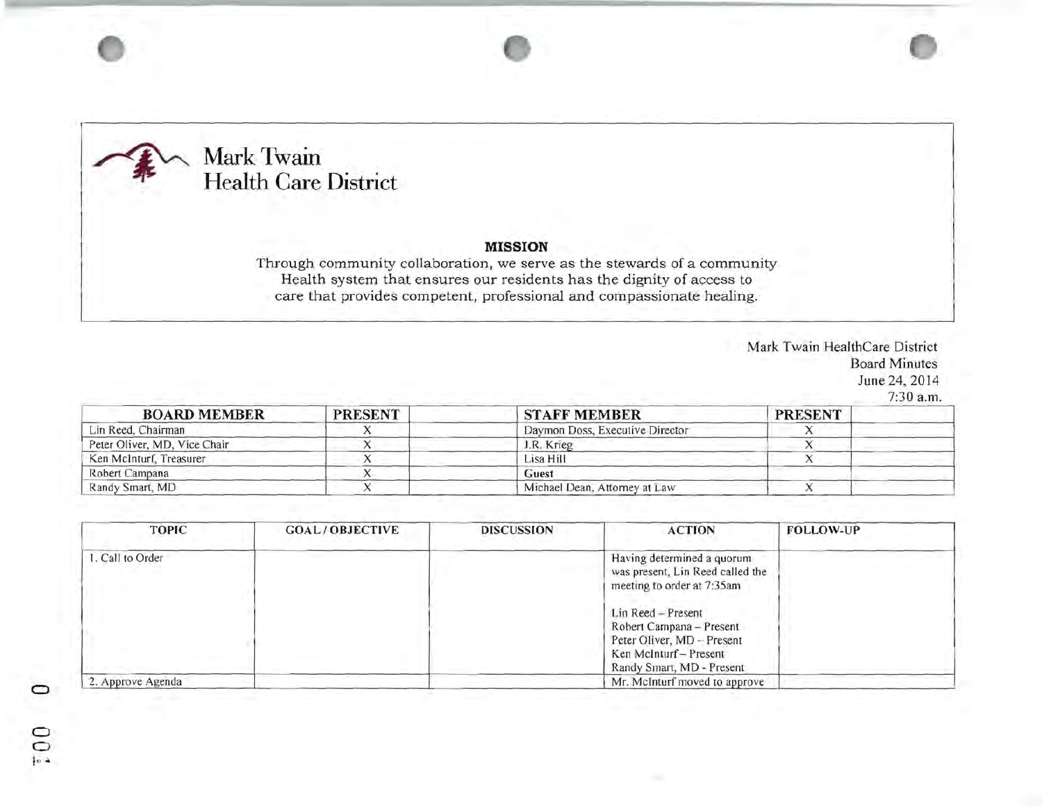

•

## **MISSION**

Through community collaboration, we serve as the stewards of a community Health system that ensures our residents has the dignity of access to care that provides competent, professional and compassionate healing.

> Mark Twain HealthCare District Board Minutes June 24,2014 7:30 a.m.

| <b>BOARD MEMBER</b>          | <b>PRESENT</b> | <b>STAFF MEMBER</b>             | <b>PRESENT</b> |  |
|------------------------------|----------------|---------------------------------|----------------|--|
| Lin Reed, Chairman           |                | Daymon Doss, Executive Director |                |  |
| Peter Oliver, MD, Vice Chair |                | J.R. Krieg                      |                |  |
| Ken McInturf, Treasurer      |                | Lisa Hill                       |                |  |
| Robert Campana               |                | Guest                           |                |  |
| Randy Smart, MD              |                | Michael Dean, Attorney at Law   |                |  |

| <b>TOPIC</b>      | <b>GOAL/OBJECTIVE</b> | <b>DISCUSSION</b> | <b>ACTION</b>                                                                                                                       | <b>FOLLOW-UP</b> |
|-------------------|-----------------------|-------------------|-------------------------------------------------------------------------------------------------------------------------------------|------------------|
| . Call to Order   |                       |                   | Having determined a quorum<br>was present, Lin Reed called the<br>meeting to order at 7:35am                                        |                  |
|                   |                       |                   | Lin Reed - Present<br>Robert Campana - Present<br>Peter Oliver, MD - Present<br>Ken McInturf - Present<br>Randy Smart, MD - Present |                  |
| 2. Approve Agenda |                       |                   | Mr. McInturf moved to approve                                                                                                       |                  |

 $\tilde{=}$  $10 - 4$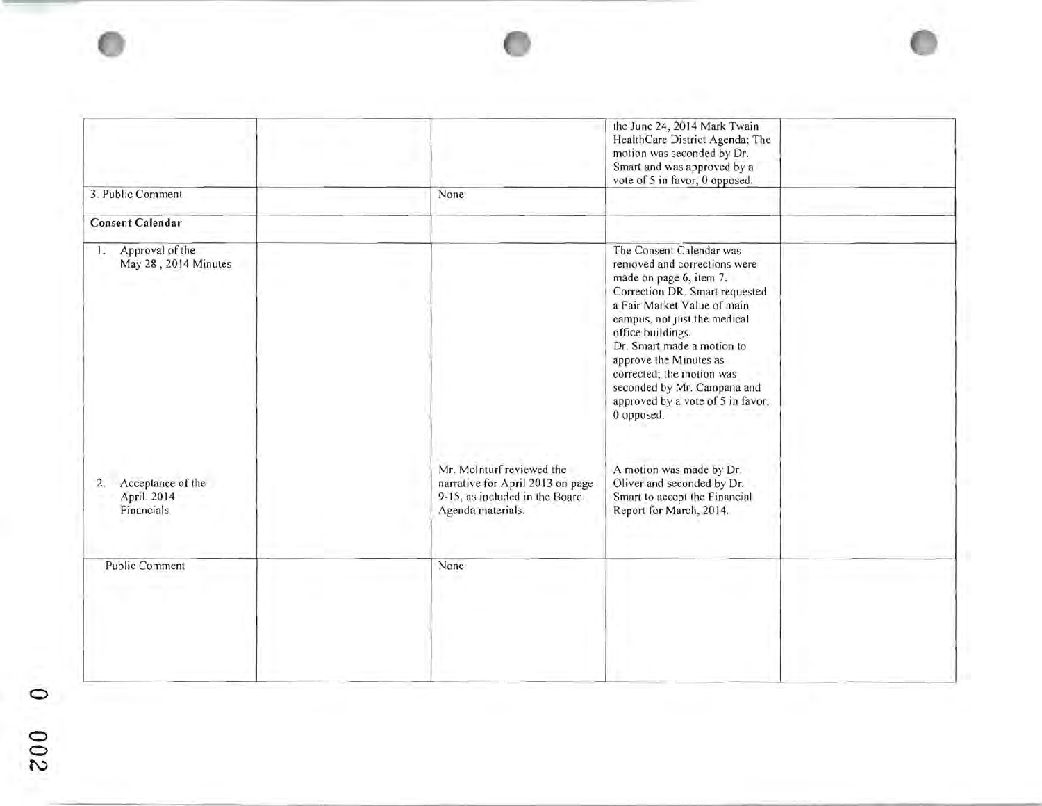|                                                      |                                                                                                                      | the June 24, 2014 Mark Twain<br>HealthCare District Agenda; The<br>motion was seconded by Dr.<br>Smart and was approved by a<br>vote of 5 in favor, 0 opposed.                                                                                                                                                                                                                   |  |
|------------------------------------------------------|----------------------------------------------------------------------------------------------------------------------|----------------------------------------------------------------------------------------------------------------------------------------------------------------------------------------------------------------------------------------------------------------------------------------------------------------------------------------------------------------------------------|--|
| 3. Public Comment                                    | None                                                                                                                 |                                                                                                                                                                                                                                                                                                                                                                                  |  |
| <b>Consent Calendar</b>                              |                                                                                                                      |                                                                                                                                                                                                                                                                                                                                                                                  |  |
| Approval of the<br>11<br>May 28, 2014 Minutes        |                                                                                                                      | The Consent Calendar was<br>removed and corrections were<br>made on page 6, item 7.<br>Correction DR. Smart requested<br>a Fair Market Value of main<br>campus, not just the medical<br>office buildings.<br>Dr. Smart made a motion to<br>approve the Minutes as<br>corrected; the motion was<br>seconded by Mr. Campana and<br>approved by a vote of 5 in favor,<br>0 opposed. |  |
| Acceptance of the<br>2.<br>April, 2014<br>Financials | Mr. McInturf reviewed the<br>narrative for April 2013 on page<br>9-15, as included in the Board<br>Agenda materials. | A motion was made by Dr.<br>Oliver and seconded by Dr.<br>Smart to accept the Financial<br>Report for March, 2014.                                                                                                                                                                                                                                                               |  |
| <b>Public Comment</b>                                | None                                                                                                                 |                                                                                                                                                                                                                                                                                                                                                                                  |  |

ø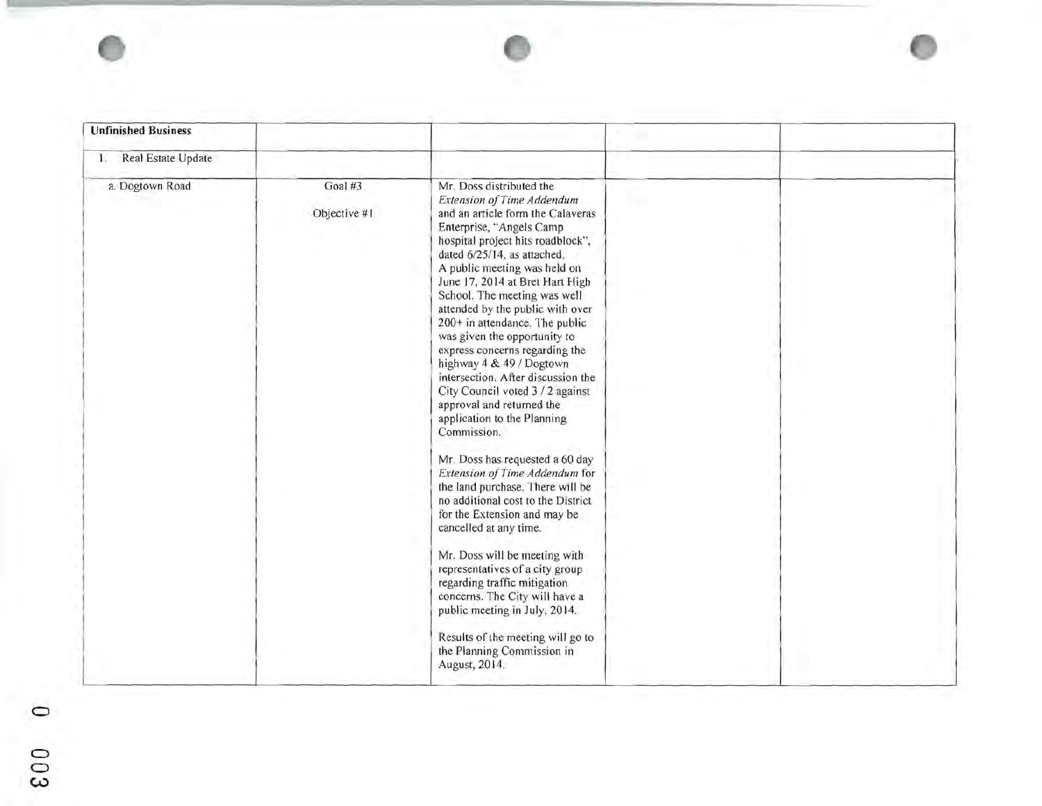

o a  $\bar{c}$ w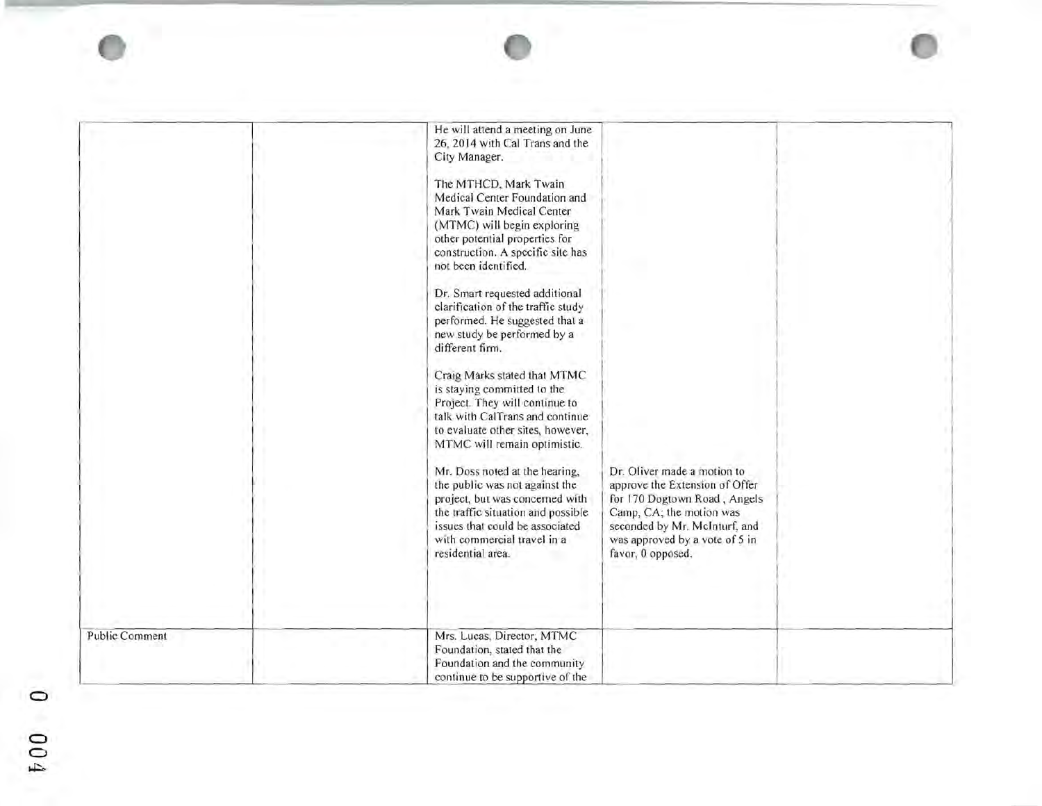|                | He will attend a meeting on June<br>26, 2014 with Cal Trans and the<br>City Manager.<br>The MTHCD, Mark Twain<br>Medical Center Foundation and<br>Mark Twain Medical Center<br>(MTMC) will begin exploring<br>other potential properties for<br>construction. A specific site has<br>not been identified.<br>Dr. Smart requested additional<br>clarification of the traffic study<br>performed. He suggested that a<br>new study be performed by a<br>different firm.<br>Craig Marks stated that MTMC<br>is staying committed to the<br>Project. They will continue to<br>talk with CalTrans and continue<br>to evaluate other sites, however,<br>MTMC will remain optimistic.<br>Mr. Doss noted at the hearing,<br>the public was not against the<br>project, but was concerned with<br>the traffic situation and possible<br>issues that could be associated<br>with commercial travel in a<br>residential area. | Dr. Oliver made a motion to<br>approve the Extension of Offer<br>for 170 Dogtown Road, Angels<br>Camp, CA; the motion was<br>seconded by Mr. McInturf, and<br>was approved by a vote of 5 in<br>favor, 0 opposed. |  |
|----------------|--------------------------------------------------------------------------------------------------------------------------------------------------------------------------------------------------------------------------------------------------------------------------------------------------------------------------------------------------------------------------------------------------------------------------------------------------------------------------------------------------------------------------------------------------------------------------------------------------------------------------------------------------------------------------------------------------------------------------------------------------------------------------------------------------------------------------------------------------------------------------------------------------------------------|-------------------------------------------------------------------------------------------------------------------------------------------------------------------------------------------------------------------|--|
| Public Comment | Mrs. Lucas, Director, MTMC<br>Foundation, stated that the<br>Foundation and the community<br>continue to be supportive of the                                                                                                                                                                                                                                                                                                                                                                                                                                                                                                                                                                                                                                                                                                                                                                                      |                                                                                                                                                                                                                   |  |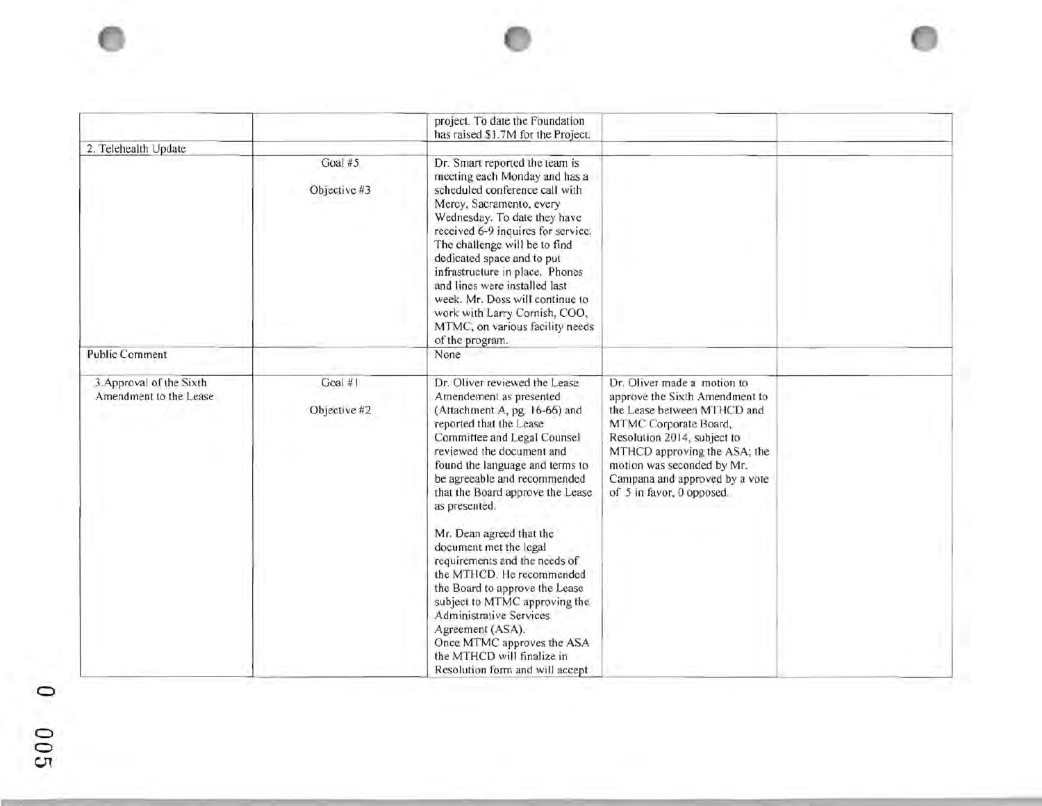|                                                    |                         | project. To date the Foundation                                                                                                                                                                                                                                                                                                                                                                                                                                                                                                                                                                                                               |                                                                                                                                                                                                                                                                                   |  |
|----------------------------------------------------|-------------------------|-----------------------------------------------------------------------------------------------------------------------------------------------------------------------------------------------------------------------------------------------------------------------------------------------------------------------------------------------------------------------------------------------------------------------------------------------------------------------------------------------------------------------------------------------------------------------------------------------------------------------------------------------|-----------------------------------------------------------------------------------------------------------------------------------------------------------------------------------------------------------------------------------------------------------------------------------|--|
| 2. Telehealth Update                               |                         | has raised \$1.7M for the Project.                                                                                                                                                                                                                                                                                                                                                                                                                                                                                                                                                                                                            |                                                                                                                                                                                                                                                                                   |  |
|                                                    | Goal #5<br>Objective #3 | Dr. Smart reported the team is<br>meeting each Monday and has a<br>scheduled conference call with<br>Mercy, Sacramento, every<br>Wednesday. To date they have<br>received 6-9 inquires for service.<br>The challenge will be to find<br>dedicated space and to put<br>infrastructure in place. Phones<br>and lines were installed last<br>week. Mr. Doss will continue to<br>work with Larry Cornish, COO,<br>MTMC, on various facility needs<br>of the program.                                                                                                                                                                              |                                                                                                                                                                                                                                                                                   |  |
| <b>Public Comment</b>                              |                         | None                                                                                                                                                                                                                                                                                                                                                                                                                                                                                                                                                                                                                                          |                                                                                                                                                                                                                                                                                   |  |
| 3. Approval of the Sixth<br>Amendment to the Lease | Goal #1<br>Objective #2 | Dr. Oliver reviewed the Lease<br>Amendement as presented<br>(Attachment A, pg. 16-66) and<br>reported that the Lease<br>Committee and Legal Counsel<br>reviewed the document and<br>found the language and terms to<br>be agreeable and recommended<br>that the Board approve the Lease<br>as presented.<br>Mr. Dean agreed that the<br>document met the legal<br>requirements and the needs of<br>the MTHCD. He recommended<br>the Board to approve the Lease<br>subject to MTMC approving the<br>Administrative Services<br>Agreement (ASA).<br>Once MTMC approves the ASA<br>the MTHCD will finalize in<br>Resolution form and will accept | Dr. Oliver made a motion to<br>approve the Sixth Amendment to<br>the Lease between MTHCD and<br>MTMC Corporate Board,<br>Resolution 2014, subject to<br>MTHCD approving the ASA; the<br>motion was seconded by Mr.<br>Campana and approved by a vote<br>of 5 in favor, 0 opposed. |  |

o o  $\bar{c}$  $\cup$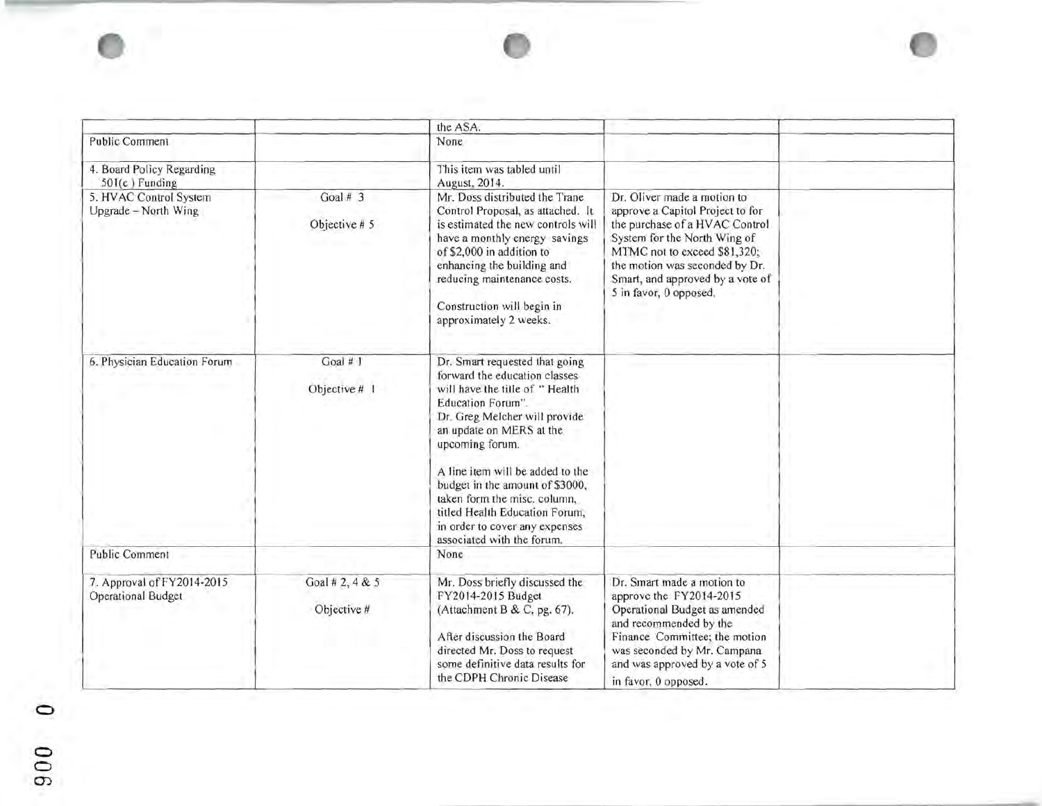|                                                         |                                | the ASA.                                                                                                                                                                                                                                                                                                                                                                                                        |                                                                                                                                                                                                                                                                   |  |
|---------------------------------------------------------|--------------------------------|-----------------------------------------------------------------------------------------------------------------------------------------------------------------------------------------------------------------------------------------------------------------------------------------------------------------------------------------------------------------------------------------------------------------|-------------------------------------------------------------------------------------------------------------------------------------------------------------------------------------------------------------------------------------------------------------------|--|
| <b>Public Comment</b>                                   |                                | None                                                                                                                                                                                                                                                                                                                                                                                                            |                                                                                                                                                                                                                                                                   |  |
| 4. Board Policy Regarding<br>501(c) Funding             |                                | This item was tabled until<br>August, 2014.                                                                                                                                                                                                                                                                                                                                                                     |                                                                                                                                                                                                                                                                   |  |
| 5. HVAC Control System<br>Upgrade - North Wing          | Goal # $3$<br>Objective # 5    | Mr. Doss distributed the Trane<br>Control Proposal, as attached. It<br>is estimated the new controls will<br>have a monthly energy savings<br>of \$2,000 in addition to<br>enhancing the building and<br>reducing maintenance costs.<br>Construction will begin in<br>approximately 2 weeks.                                                                                                                    | Dr. Oliver made a motion to<br>approve a Capitol Project to for<br>the purchase of a HVAC Control<br>System for the North Wing of<br>MTMC not to exceed \$81,320:<br>the motion was seconded by Dr.<br>Smart, and approved by a vote of<br>5 in favor, 0 opposed. |  |
| 6. Physician Education Forum                            | Goal # 1<br>Objective # 1      | Dr. Smart requested that going<br>forward the education classes<br>will have the title of "Health<br>Education Forum".<br>Dr. Greg Melcher will provide<br>an update on MERS at the<br>upcoming forum.<br>A line item will be added to the<br>budget in the amount of \$3000,<br>taken form the misc. column,<br>titled Health Education Forum,<br>in order to cover any expenses<br>associated with the forum. |                                                                                                                                                                                                                                                                   |  |
| <b>Public Comment</b>                                   |                                | None                                                                                                                                                                                                                                                                                                                                                                                                            |                                                                                                                                                                                                                                                                   |  |
| 7. Approval of FY2014-2015<br><b>Operational Budget</b> | Goal # 2, 4 & 5<br>Objective # | Mr. Doss briefly discussed the<br>FY2014-2015 Budget<br>(Attachment B & C, pg. 67).<br>After discussion the Board<br>directed Mr. Doss to request<br>some definitive data results for<br>the CDPH Chronic Disease                                                                                                                                                                                               | Dr. Smart made a motion to<br>approve the FY2014-2015<br>Operational Budget as amended<br>and recommended by the<br>Finance Committee; the motion<br>was seconded by Mr. Campana<br>and was approved by a vote of 5<br>in favor, 0 opposed.                       |  |

o o  $\tilde{c}$  $\widetilde{\sigma}$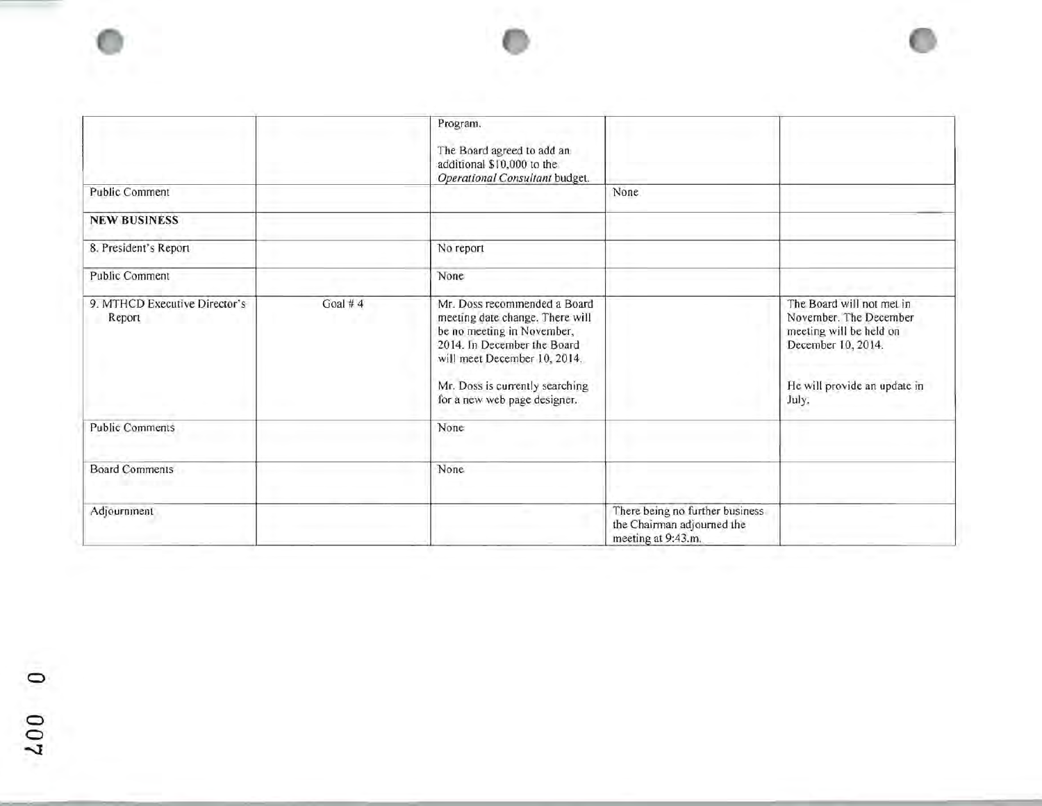|                                         |            | Program.<br>The Board agreed to add an<br>additional \$10,000 to the<br>Operational Consultant budget.                                                                                                                           |                                                                                     |                                                                                                                                               |
|-----------------------------------------|------------|----------------------------------------------------------------------------------------------------------------------------------------------------------------------------------------------------------------------------------|-------------------------------------------------------------------------------------|-----------------------------------------------------------------------------------------------------------------------------------------------|
| <b>Public Comment</b>                   |            |                                                                                                                                                                                                                                  | <b>None</b>                                                                         |                                                                                                                                               |
| <b>NEW BUSINESS</b>                     |            |                                                                                                                                                                                                                                  |                                                                                     |                                                                                                                                               |
| 8. President's Report                   |            | No report                                                                                                                                                                                                                        |                                                                                     |                                                                                                                                               |
| <b>Public Comment</b>                   |            | None                                                                                                                                                                                                                             |                                                                                     |                                                                                                                                               |
| 9. MTHCD Executive Director's<br>Report | Goal # $4$ | Mr. Doss recommended a Board<br>meeting date change. There will<br>be no meeting in November,<br>2014. In December the Board<br>will meet December 10, 2014.<br>Mr. Doss is currently searching.<br>for a new web page designer. |                                                                                     | The Board will not met in<br>November. The December<br>meeting will be held on<br>December 10, 2014.<br>He will provide an update in<br>July. |
| <b>Public Comments</b>                  |            | None                                                                                                                                                                                                                             |                                                                                     |                                                                                                                                               |
| <b>Board Comments</b>                   |            | None                                                                                                                                                                                                                             |                                                                                     |                                                                                                                                               |
| Adjournment                             |            |                                                                                                                                                                                                                                  | There being no further business<br>the Chairman adjourned the<br>meeting at 9:43.m. |                                                                                                                                               |